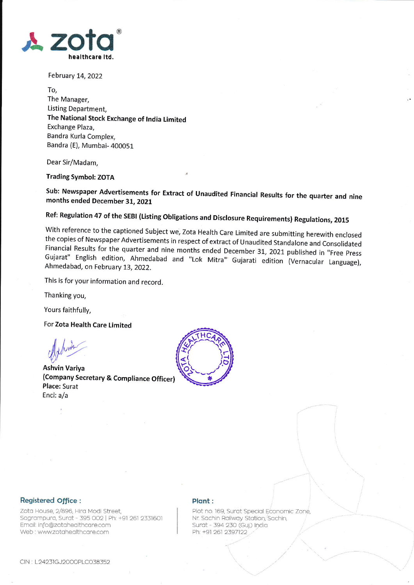

February 14, 2022

To, The Manager, Listing Department, The National Stock Exchange of tndia Limited Exchange Plaza, Bandra Kurla Complex, Bandra (E), Mumbai- 400051

Dear 5ir/Madam,

Trading Symbol: ZOTA

sub: Newspaper Advertisements for Extract of Unaudited Financial Results for the quarter and nine months ended December 31, <sup>2021</sup>

Ref: Regulation 47 of the SEBI (Listing Obligations and Disclosure Requirements) Regulations, 2015<br>With reference to the captioned Subject we, Zota Health Care Limited are submitting herewith enclosed the copies of Newspaper Advertisements in respect of extract of Unaudited Standalone and Consolidated<br>Financial Results for the quarter and nine months ended December 31, 2021 published in "Free Press<br>Gujarat" English edit

This is for your information and record.

Thanking you,

Yours faithfully,

For Zota Health Care Limited

dehove

Ashvin Variya (Company Secretary & Compliance Officer) Place: Surat Encl: a/a



## Registered Office :

Zota House, 2/896, Hira Modi Street, Sagrampura, Surat - 395 002 | Ph; +91 261 2331601 Email: info@zotahealthcare.com Web : www.zotahealthcare.com

## Plant:

Plot no. 169, Surat Special Economic Zone, Nr. Sachin Railway Station, Sachin, Surat - 394 230 (Guj.) India Ph: +91 261 2397122